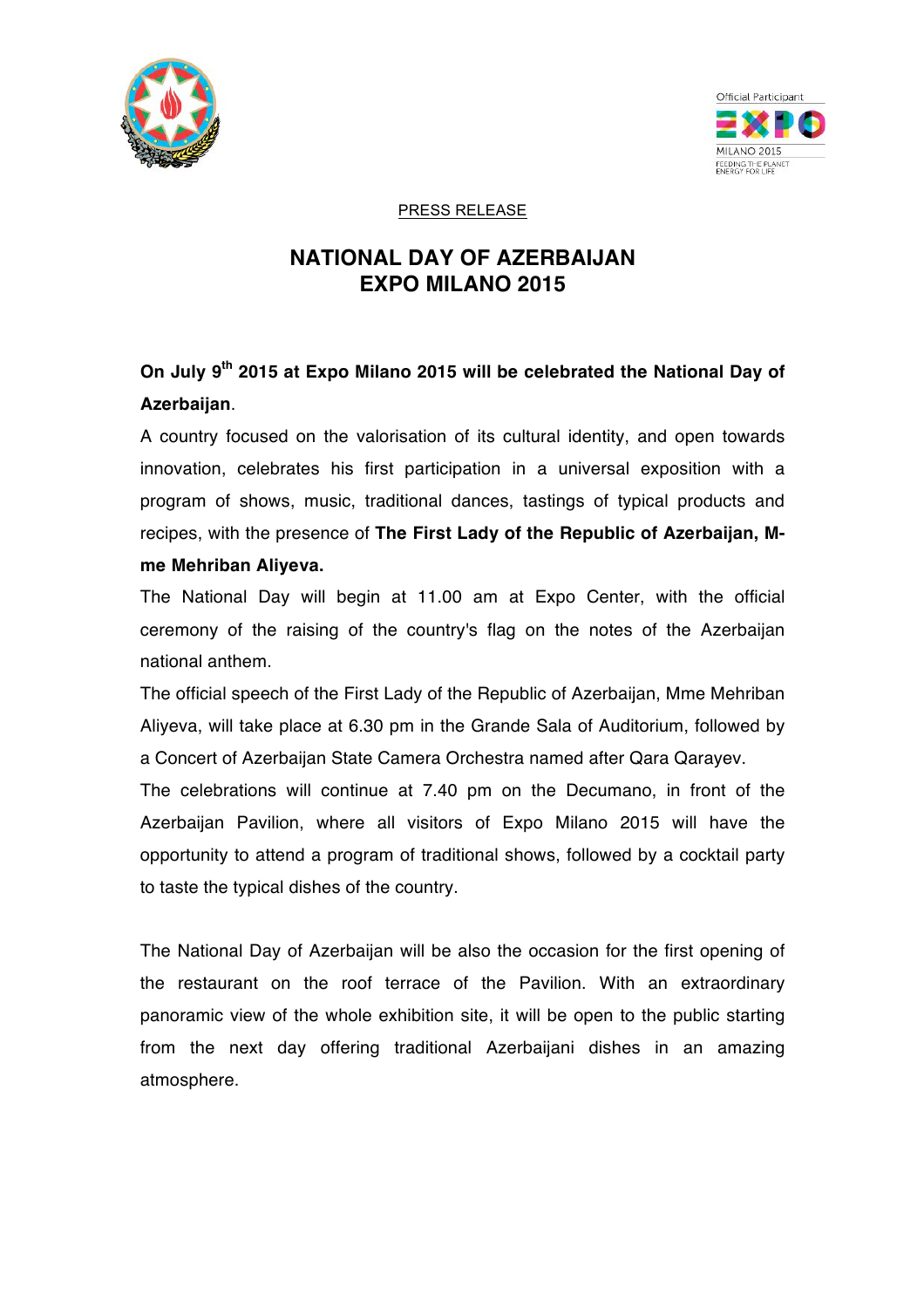



PRESS RELEASE

## **NATIONAL DAY OF AZERBAIJAN EXPO MILANO 2015**

## **On July 9th 2015 at Expo Milano 2015 will be celebrated the National Day of Azerbaijan**.

A country focused on the valorisation of its cultural identity, and open towards innovation, celebrates his first participation in a universal exposition with a program of shows, music, traditional dances, tastings of typical products and recipes, with the presence of **The First Lady of the Republic of Azerbaijan, Mme Mehriban Aliyeva.**

The National Day will begin at 11.00 am at Expo Center, with the official ceremony of the raising of the country's flag on the notes of the Azerbaijan national anthem.

The official speech of the First Lady of the Republic of Azerbaijan, Mme Mehriban Aliyeva, will take place at 6.30 pm in the Grande Sala of Auditorium, followed by a Concert of Azerbaijan State Camera Orchestra named after Qara Qarayev.

The celebrations will continue at 7.40 pm on the Decumano, in front of the Azerbaijan Pavilion, where all visitors of Expo Milano 2015 will have the opportunity to attend a program of traditional shows, followed by a cocktail party to taste the typical dishes of the country.

The National Day of Azerbaijan will be also the occasion for the first opening of the restaurant on the roof terrace of the Pavilion. With an extraordinary panoramic view of the whole exhibition site, it will be open to the public starting from the next day offering traditional Azerbaijani dishes in an amazing atmosphere.